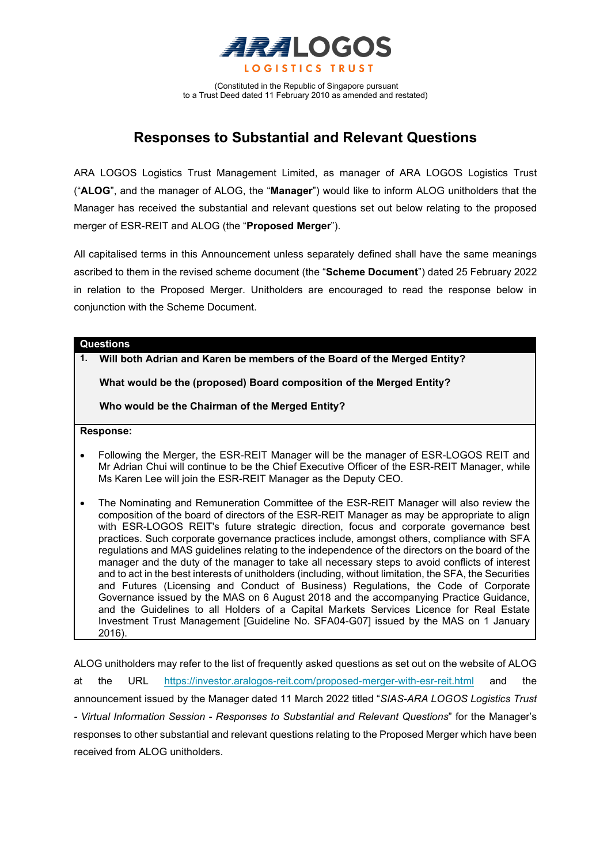

(Constituted in the Republic of Singapore pursuant to a Trust Deed dated 11 February 2010 as amended and restated)

# **Responses to Substantial and Relevant Questions**

ARA LOGOS Logistics Trust Management Limited, as manager of ARA LOGOS Logistics Trust ("**ALOG**", and the manager of ALOG, the "**Manager**") would like to inform ALOG unitholders that the Manager has received the substantial and relevant questions set out below relating to the proposed merger of ESR-REIT and ALOG (the "**Proposed Merger**").

All capitalised terms in this Announcement unless separately defined shall have the same meanings ascribed to them in the revised scheme document (the "**Scheme Document**") dated 25 February 2022 in relation to the Proposed Merger. Unitholders are encouraged to read the response below in conjunction with the Scheme Document.

# **Questions**

**1. Will both Adrian and Karen be members of the Board of the Merged Entity?**

**What would be the (proposed) Board composition of the Merged Entity?**

**Who would be the Chairman of the Merged Entity?**

**Response:** 

- Following the Merger, the ESR-REIT Manager will be the manager of ESR-LOGOS REIT and Mr Adrian Chui will continue to be the Chief Executive Officer of the ESR-REIT Manager, while Ms Karen Lee will join the ESR-REIT Manager as the Deputy CEO.
- The Nominating and Remuneration Committee of the ESR-REIT Manager will also review the composition of the board of directors of the ESR-REIT Manager as may be appropriate to align with ESR-LOGOS REIT's future strategic direction, focus and corporate governance best practices. Such corporate governance practices include, amongst others, compliance with SFA regulations and MAS guidelines relating to the independence of the directors on the board of the manager and the duty of the manager to take all necessary steps to avoid conflicts of interest and to act in the best interests of unitholders (including, without limitation, the SFA, the Securities and Futures (Licensing and Conduct of Business) Regulations, the Code of Corporate Governance issued by the MAS on 6 August 2018 and the accompanying Practice Guidance, and the Guidelines to all Holders of a Capital Markets Services Licence for Real Estate Investment Trust Management [Guideline No. SFA04-G07] issued by the MAS on 1 January 2016).

ALOG unitholders may refer to the list of frequently asked questions as set out on the website of ALOG at the URL <https://investor.aralogos-reit.com/proposed-merger-with-esr-reit.html> and the announcement issued by the Manager dated 11 March 2022 titled "*SIAS-ARA LOGOS Logistics Trust - Virtual Information Session - Responses to Substantial and Relevant Questions*" for the Manager's responses to other substantial and relevant questions relating to the Proposed Merger which have been received from ALOG unitholders.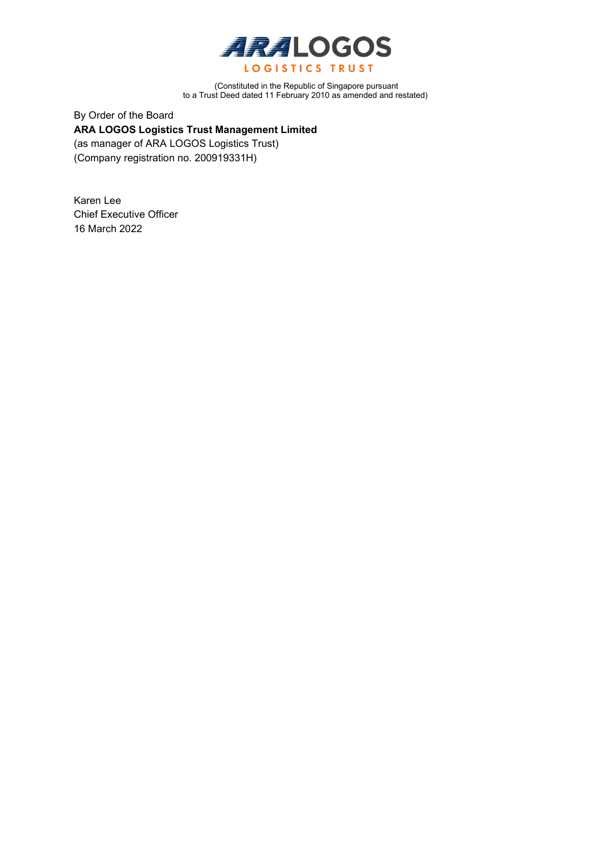

(Constituted in the Republic of Singapore pursuant to a Trust Deed dated 11 February 2010 as amended and restated)

By Order of the Board **ARA LOGOS Logistics Trust Management Limited**  (as manager of ARA LOGOS Logistics Trust) (Company registration no. 200919331H)

Karen Lee Chief Executive Officer 16 March 2022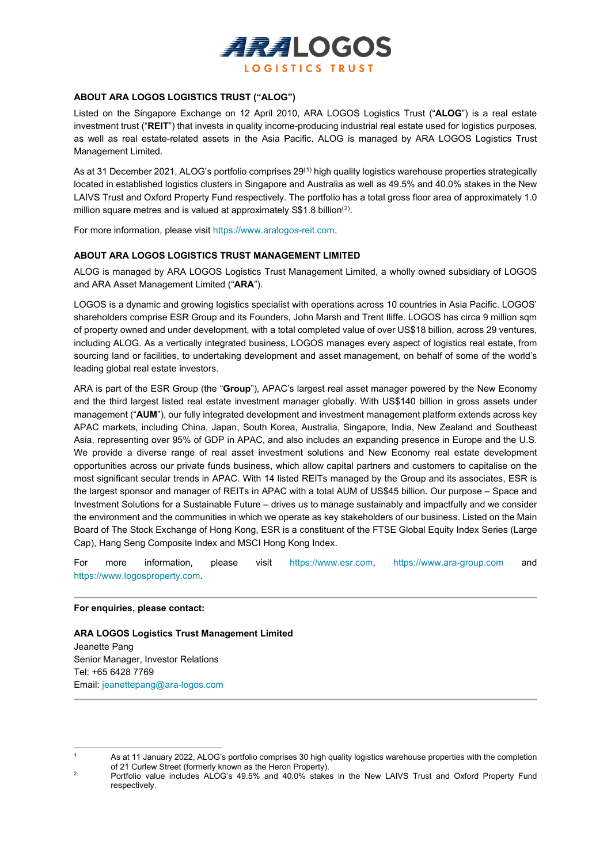

# **ABOUT ARA LOGOS LOGISTICS TRUST ("ALOG")**

Listed on the Singapore Exchange on 12 April 2010, ARA LOGOS Logistics Trust ("**ALOG**") is a real estate investment trust ("**REIT**") that invests in quality income-producing industrial real estate used for logistics purposes, as well as real estate-related assets in the Asia Pacific. ALOG is managed by ARA LOGOS Logistics Trust Management Limited.

As at 31 December 2021, ALOG's portfolio comprises 29<sup>([1\)](#page-2-0)</sup> high quality logistics warehouse properties strategically located in established logistics clusters in Singapore and Australia as well as 49.5% and 40.0% stakes in the New LAIVS Trust and Oxford Property Fund respectively. The portfolio has a total gross floor area of approximately 1.0 million square metres and is valued at approximately  $\text{\$\$1.8}$  billion<sup>([2](#page-2-1))</sup>.

For more information, please visit https://www.aralogos-reit.com.

#### **ABOUT ARA LOGOS LOGISTICS TRUST MANAGEMENT LIMITED**

ALOG is managed by ARA LOGOS Logistics Trust Management Limited, a wholly owned subsidiary of LOGOS and ARA Asset Management Limited ("**ARA**").

LOGOS is a dynamic and growing logistics specialist with operations across 10 countries in Asia Pacific. LOGOS' shareholders comprise ESR Group and its Founders, John Marsh and Trent Iliffe. LOGOS has circa 9 million sqm of property owned and under development, with a total completed value of over US\$18 billion, across 29 ventures, including ALOG. As a vertically integrated business, LOGOS manages every aspect of logistics real estate, from sourcing land or facilities, to undertaking development and asset management, on behalf of some of the world's leading global real estate investors.

ARA is part of the ESR Group (the "**Group**"), APAC's largest real asset manager powered by the New Economy and the third largest listed real estate investment manager globally. With US\$140 billion in gross assets under management ("**AUM**"), our fully integrated development and investment management platform extends across key APAC markets, including China, Japan, South Korea, Australia, Singapore, India, New Zealand and Southeast Asia, representing over 95% of GDP in APAC, and also includes an expanding presence in Europe and the U.S. We provide a diverse range of real asset investment solutions and New Economy real estate development opportunities across our private funds business, which allow capital partners and customers to capitalise on the most significant secular trends in APAC. With 14 listed REITs managed by the Group and its associates, ESR is the largest sponsor and manager of REITs in APAC with a total AUM of US\$45 billion. Our purpose – Space and Investment Solutions for a Sustainable Future – drives us to manage sustainably and impactfully and we consider the environment and the communities in which we operate as key stakeholders of our business. Listed on the Main Board of The Stock Exchange of Hong Kong, ESR is a constituent of the FTSE Global Equity Index Series (Large Cap), Hang Seng Composite Index and MSCI Hong Kong Index.

For more information, please visit [https://www.esr.com,](https://www.esr.com/) [https://www.ara-group.com](https://www.ara-group.com/) and [https://www.logosproperty.com.](https://www.logosproperty.com/)

#### **For enquiries, please contact:**

**ARA LOGOS Logistics Trust Management Limited** Jeanette Pang Senior Manager, Investor Relations Tel: +65 6428 7769 Email[: jeanettepang@ara-logos.com](mailto:jeanettepang@ara-logos.com)

<span id="page-2-0"></span><sup>1</sup> As at 11 January 2022, ALOG's portfolio comprises 30 high quality logistics warehouse properties with the completion of 21 Curlew Street (formerly known as the Heron Property).

<span id="page-2-1"></span>Portfolio value includes ALOG's 49.5% and 40.0% stakes in the New LAIVS Trust and Oxford Property Fund respectively.